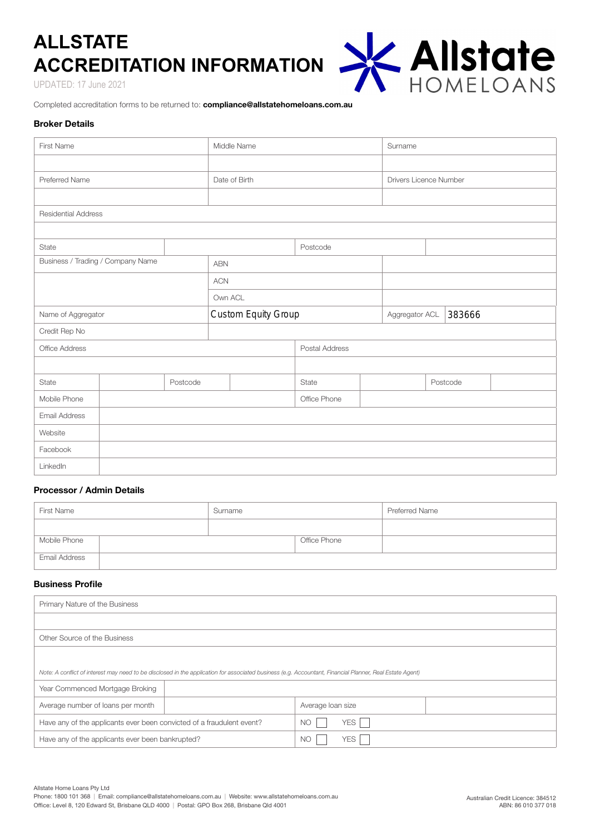# **ALLSTATE ACCREDITATION INFORMATION**

UPDATED: 17 June 2021



Completed accreditation forms to be returned to: **compliance@allstatehomeloans.com.au**

# **Broker Details**

| First Name                        |          |  | Middle Name         |  | Surname                |                |        |  |          |  |
|-----------------------------------|----------|--|---------------------|--|------------------------|----------------|--------|--|----------|--|
|                                   |          |  |                     |  |                        |                |        |  |          |  |
| Preferred Name                    |          |  | Date of Birth       |  | Drivers Licence Number |                |        |  |          |  |
|                                   |          |  |                     |  |                        |                |        |  |          |  |
| <b>Residential Address</b>        |          |  |                     |  |                        |                |        |  |          |  |
|                                   |          |  |                     |  |                        |                |        |  |          |  |
| State                             |          |  | Postcode            |  |                        |                |        |  |          |  |
| Business / Trading / Company Name |          |  | <b>ABN</b>          |  |                        |                |        |  |          |  |
|                                   |          |  | <b>ACN</b>          |  |                        |                |        |  |          |  |
|                                   |          |  | Own ACL             |  |                        |                |        |  |          |  |
| Name of Aggregator                |          |  | Custom Equity Group |  |                        | Aggregator ACL | 383666 |  |          |  |
| Credit Rep No                     |          |  |                     |  |                        |                |        |  |          |  |
| Office Address                    |          |  | Postal Address      |  |                        |                |        |  |          |  |
|                                   |          |  |                     |  |                        |                |        |  |          |  |
| State                             | Postcode |  |                     |  | State                  |                |        |  | Postcode |  |
| Mobile Phone                      |          |  |                     |  | Office Phone           |                |        |  |          |  |
| Email Address                     |          |  |                     |  |                        |                |        |  |          |  |
| Website                           |          |  |                     |  |                        |                |        |  |          |  |
| Facebook                          |          |  |                     |  |                        |                |        |  |          |  |
| LinkedIn                          |          |  |                     |  |                        |                |        |  |          |  |

# **Processor / Admin Details**

| First Name    | Surname |              | Preferred Name |
|---------------|---------|--------------|----------------|
|               |         |              |                |
| Mobile Phone  |         | Office Phone |                |
| Email Address |         |              |                |

# **Business Profile**

| Primary Nature of the Business                                                                                                                           |                   |  |  |  |  |
|----------------------------------------------------------------------------------------------------------------------------------------------------------|-------------------|--|--|--|--|
|                                                                                                                                                          |                   |  |  |  |  |
| Other Source of the Business                                                                                                                             |                   |  |  |  |  |
|                                                                                                                                                          |                   |  |  |  |  |
| Note: A conflict of interest may need to be disclosed in the application for associated business (e.g. Accountant, Financial Planner, Real Estate Agent) |                   |  |  |  |  |
| Year Commenced Mortgage Broking                                                                                                                          |                   |  |  |  |  |
| Average number of loans per month                                                                                                                        | Average loan size |  |  |  |  |
| Have any of the applicants ever been convicted of a fraudulent event?                                                                                    | <b>NO</b><br>YES  |  |  |  |  |
| Have any of the applicants ever been bankrupted?                                                                                                         | <b>NO</b><br>YES. |  |  |  |  |